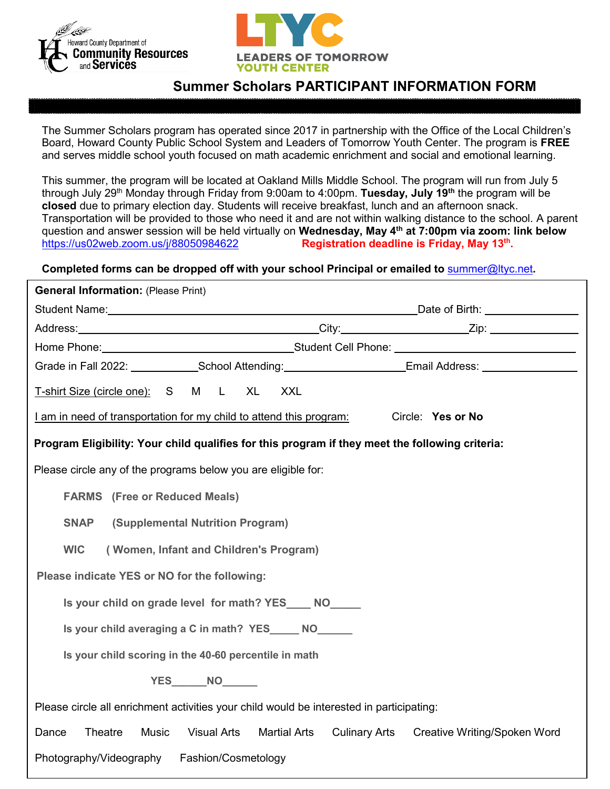



# **Summer Scholars PARTICIPANT INFORMATION FORM**

The Summer Scholars program has operated since 2017 in partnership with the Office of the Local Children's Board, Howard County Public School System and Leaders of Tomorrow Youth Center. The program is **FREE** and serves middle school youth focused on math academic enrichment and social and emotional learning.

This summer, the program will be located at Oakland Mills Middle School. The program will run from July 5 through July 29th Monday through Friday from 9:00am to 4:00pm. **Tuesday, July 19th** the program will be **closed** due to primary election day. Students will receive breakfast, lunch and an afternoon snack. Transportation will be provided to those who need it and are not within walking distance to the school. A parent question and answer session will be held virtually on **Wednesday, May 4<sup>th</sup> at 7:00pm via zoom: link below**<br>https://us02web.zoom.us/i/88050984622<br>**Registration deadline is Friday. May 13<sup>th</sup>.** Registration deadline is Friday, May 13<sup>th</sup>.

## **Completed forms can be dropped off with your school Principal or emailed to** [summer@ltyc.net](mailto:summer@ltyc.net)**.**

| <b>General Information: (Please Print)</b>                                                                                                                                                                                     |  |  |  |
|--------------------------------------------------------------------------------------------------------------------------------------------------------------------------------------------------------------------------------|--|--|--|
| Date of Birth: <u>________________</u>                                                                                                                                                                                         |  |  |  |
|                                                                                                                                                                                                                                |  |  |  |
| Home Phone: Now are also contained a student Cell Phone: Now are also contained by the student Cell Phone: Now are also contained by the student of the student of the student of the student of the student of the student of |  |  |  |
| Grade in Fall 2022: School Attending: Email Address: Cambridge Crade in Fall 2022:                                                                                                                                             |  |  |  |
| T-shirt Size (circle one): S M L XL<br><b>XXL</b>                                                                                                                                                                              |  |  |  |
| I am in need of transportation for my child to attend this program:<br>Circle: Yes or No                                                                                                                                       |  |  |  |
| Program Eligibility: Your child qualifies for this program if they meet the following criteria:                                                                                                                                |  |  |  |
| Please circle any of the programs below you are eligible for:                                                                                                                                                                  |  |  |  |
| <b>FARMS</b> (Free or Reduced Meals)                                                                                                                                                                                           |  |  |  |
| <b>SNAP</b><br>(Supplemental Nutrition Program)                                                                                                                                                                                |  |  |  |
| <b>WIC</b><br>(Women, Infant and Children's Program)                                                                                                                                                                           |  |  |  |
| Please indicate YES or NO for the following:                                                                                                                                                                                   |  |  |  |
| Is your child on grade level for math? YES____ NO_____                                                                                                                                                                         |  |  |  |
| Is your child averaging a C in math? YES_____ NO______                                                                                                                                                                         |  |  |  |
| Is your child scoring in the 40-60 percentile in math                                                                                                                                                                          |  |  |  |
| YES_______NO_______                                                                                                                                                                                                            |  |  |  |
| Please circle all enrichment activities your child would be interested in participating:                                                                                                                                       |  |  |  |
| Theatre<br><b>Music</b><br><b>Visual Arts</b><br><b>Martial Arts</b><br><b>Culinary Arts</b><br>Dance<br>Creative Writing/Spoken Word                                                                                          |  |  |  |
| Photography/Videography<br>Fashion/Cosmetology                                                                                                                                                                                 |  |  |  |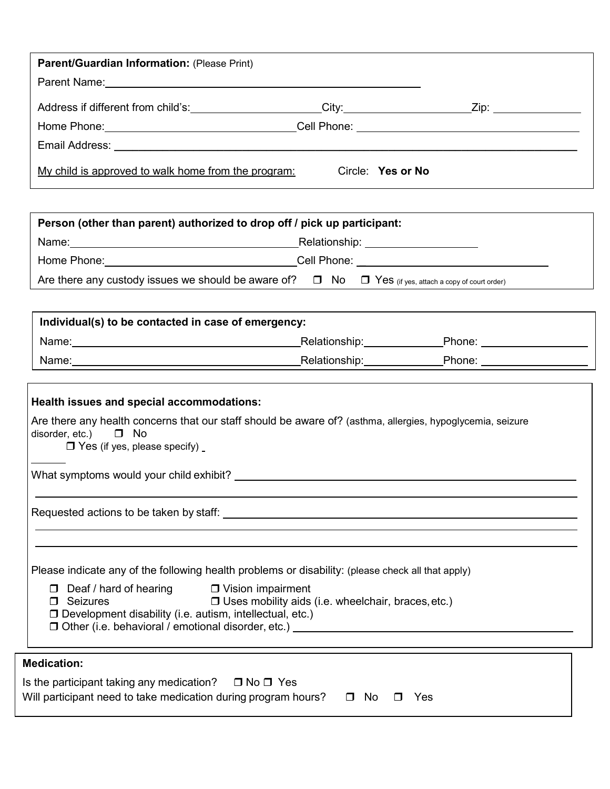| <b>Parent/Guardian Information: (Please Print)</b>  |                   |  |
|-----------------------------------------------------|-------------------|--|
|                                                     |                   |  |
| Address if different from child's:                  |                   |  |
|                                                     |                   |  |
|                                                     |                   |  |
| My child is approved to walk home from the program: | Circle: Yes or No |  |

| Person (other than parent) authorized to drop off / pick up participant:                                                                |                                                                                                                                                                                                                               |  |  |
|-----------------------------------------------------------------------------------------------------------------------------------------|-------------------------------------------------------------------------------------------------------------------------------------------------------------------------------------------------------------------------------|--|--|
|                                                                                                                                         |                                                                                                                                                                                                                               |  |  |
| Home Phone: ___________________________________Cell Phone: ______________________                                                       |                                                                                                                                                                                                                               |  |  |
| Are there any custody issues we should be aware of? $\Box$ No $\Box$ Yes (if yes, attach a copy of court order)                         |                                                                                                                                                                                                                               |  |  |
|                                                                                                                                         |                                                                                                                                                                                                                               |  |  |
| Individual(s) to be contacted in case of emergency:                                                                                     |                                                                                                                                                                                                                               |  |  |
|                                                                                                                                         | _Relationship:_________________Phone: ____________________                                                                                                                                                                    |  |  |
|                                                                                                                                         | Name: Name: Name: Name: Name: Name: Name: Name: Name: Name: Name: Name: Name: Name: Name: Name: Name: Name: Name: Name: Name: Name: Name: Name: Name: Name: Name: Name: Name: Name: Name: Name: Name: Name: Name: Name: Name: |  |  |
|                                                                                                                                         |                                                                                                                                                                                                                               |  |  |
| Health issues and special accommodations:                                                                                               |                                                                                                                                                                                                                               |  |  |
| Are there any health concerns that our staff should be aware of? (asthma, allergies, hypoglycemia, seizure<br>disorder, etc.) $\Box$ No |                                                                                                                                                                                                                               |  |  |

 $\Box$  Yes (if yes, please specify)

What symptoms would your child exhibit?

Requested actions to be taken by staff:

|  |  | Please indicate any of the following health problems or disability: (please check all that apply) |
|--|--|---------------------------------------------------------------------------------------------------|
|  |  |                                                                                                   |

| $\Box$ Deaf / hard of hearing | □ Vision impairment |
|-------------------------------|---------------------|
|                               |                     |

| $\Box$ Seizures | $\Box$ Uses mobility aids (i.e. wheelchair, braces, etc.) |
|-----------------|-----------------------------------------------------------|
|-----------------|-----------------------------------------------------------|

- Development disability (i.e. autism, intellectual, etc.)
- $\Box$  Other (i.e. behavioral / emotional disorder, etc.)

### **Medication:**

l

| Is the participant taking any medication? $\Box$ No $\Box$ Yes                      |  |  |
|-------------------------------------------------------------------------------------|--|--|
| Will participant need to take medication during program hours? $\Box$ No $\Box$ Yes |  |  |